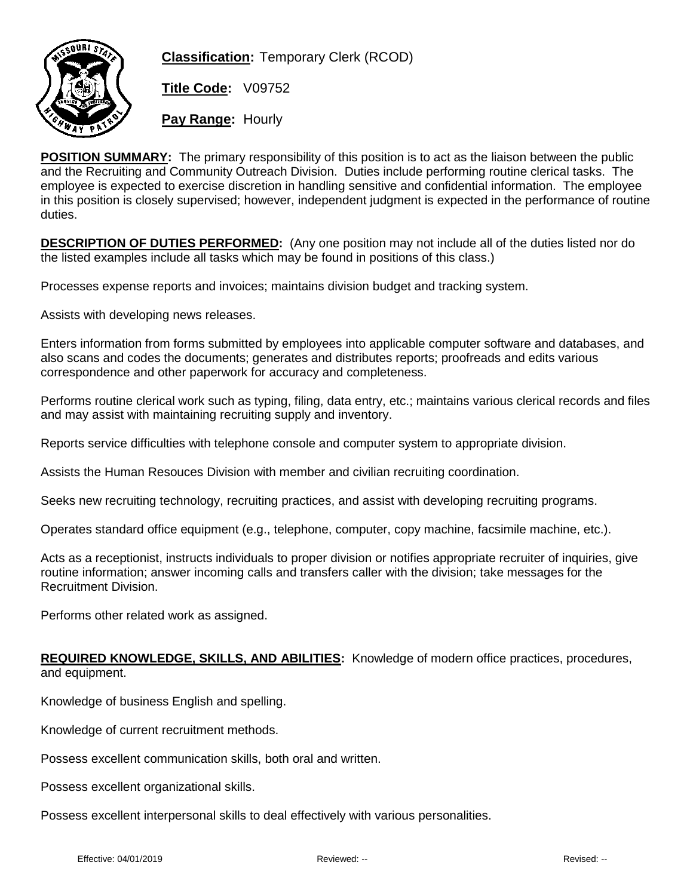

**Classification:** Temporary Clerk (RCOD)

**Title Code:** V09752

**Pay Range:** Hourly

**POSITION SUMMARY:** The primary responsibility of this position is to act as the liaison between the public and the Recruiting and Community Outreach Division. Duties include performing routine clerical tasks. The employee is expected to exercise discretion in handling sensitive and confidential information. The employee in this position is closely supervised; however, independent judgment is expected in the performance of routine duties.

**DESCRIPTION OF DUTIES PERFORMED:** (Any one position may not include all of the duties listed nor do the listed examples include all tasks which may be found in positions of this class.)

Processes expense reports and invoices; maintains division budget and tracking system.

Assists with developing news releases.

Enters information from forms submitted by employees into applicable computer software and databases, and also scans and codes the documents; generates and distributes reports; proofreads and edits various correspondence and other paperwork for accuracy and completeness.

Performs routine clerical work such as typing, filing, data entry, etc.; maintains various clerical records and files and may assist with maintaining recruiting supply and inventory.

Reports service difficulties with telephone console and computer system to appropriate division.

Assists the Human Resouces Division with member and civilian recruiting coordination.

Seeks new recruiting technology, recruiting practices, and assist with developing recruiting programs.

Operates standard office equipment (e.g., telephone, computer, copy machine, facsimile machine, etc.).

Acts as a receptionist, instructs individuals to proper division or notifies appropriate recruiter of inquiries, give routine information; answer incoming calls and transfers caller with the division; take messages for the Recruitment Division.

Performs other related work as assigned.

**REQUIRED KNOWLEDGE, SKILLS, AND ABILITIES:** Knowledge of modern office practices, procedures, and equipment.

Knowledge of business English and spelling.

Knowledge of current recruitment methods.

Possess excellent communication skills, both oral and written.

Possess excellent organizational skills.

Possess excellent interpersonal skills to deal effectively with various personalities.